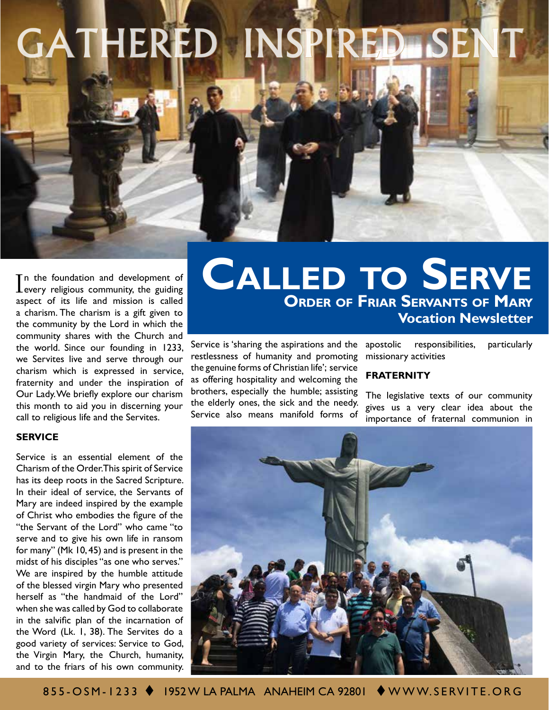# GATHERED INSPIRED SEN

In the foundation and development of<br>Levery religious community, the guiding every religious community, the guiding aspect of its life and mission is called a charism. The charism is a gift given to the community by the Lord in which the community shares with the Church and the world. Since our founding in 1233, we Servites live and serve through our charism which is expressed in service, fraternity and under the inspiration of Our Lady. We briefly explore our charism this month to aid you in discerning your call to religious life and the Servites.

#### **SERVICE**

Service is an essential element of the Charism of the Order. This spirit of Service has its deep roots in the Sacred Scripture. In their ideal of service, the Servants of Mary are indeed inspired by the example of Christ who embodies the figure of the "the Servant of the Lord" who came "to serve and to give his own life in ransom for many" (Mk 10, 45) and is present in the midst of his disciples "as one who serves." We are inspired by the humble attitude of the blessed virgin Mary who presented herself as "the handmaid of the Lord" when she was called by God to collaborate in the salvific plan of the incarnation of the Word (Lk. 1, 38). The Servites do a good variety of services: Service to God, the Virgin Mary, the Church, humanity, and to the friars of his own community.

## **Order of Friar Servants of Mary Vocation Newsletter Called to Serve**

Service is 'sharing the aspirations and the restlessness of humanity and promoting the genuine forms of Christian life'; service as offering hospitality and welcoming the brothers, especially the humble; assisting the elderly ones, the sick and the needy. Service also means manifold forms of

apostolic responsibilities, particularly missionary activities

#### **FRATERNITY**

The legislative texts of our community gives us a very clear idea about the importance of fraternal communion in